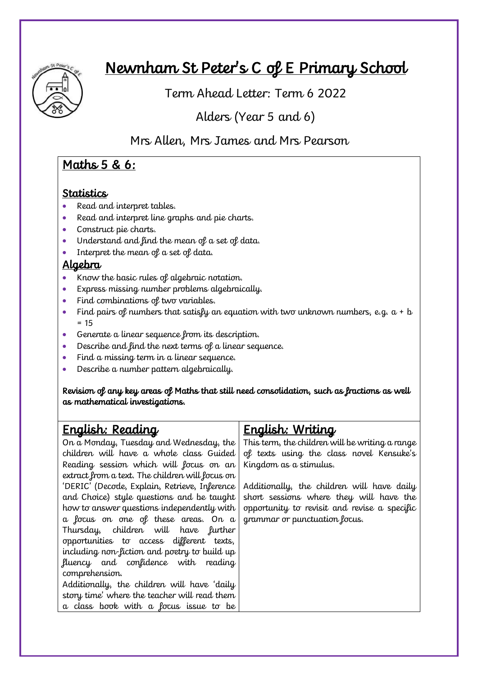

# Newnham St Peter's C of E Primary School

Term Ahead Letter: Term 6 2022

Alders (Year 5 and 6)

Mrs Allen, Mrs James and Mrs Pearson

## Maths 5 & 6:

#### **Statistics**

- Read and interpret tables.
- Read and interpret line graphs and pie charts.
- Construct pie charts.
- Understand and find the mean of a set of data.
- Interpret the mean of a set of data.

#### Algebra

- Know the basic rules of algebraic notation.
- Express missing number problems algebraically.
- Find combinations of two variables.
- Find pairs of numbers that satisfy an equation with two unknown numbers, e.g.  $a + b$  $= 15$
- Generate a linear sequence from its description.
- Describe and find the next terms of a linear sequence.
- Find a missing term in a linear sequence.
- Describe a number pattern algebraically.

Revision of any key areas of Maths that still need consolidation, such as fractions as well as mathematical investigations.

## English: Reading

On a Monday, Tuesday and Wednesday, the children will have a whole class Guided Reading session which will focus on an extract from a text. The children will focus on 'DERIC' (Decode, Explain, Retrieve, Inference and Choice) style questions and be taught how to answer questions independently with a focus on one of these areas. On a Thursday, children will have further opportunities to access different texts, including non-fiction and poetry to build up fluency and confidence with reading comprehension. Additionally, the children will have 'daily story time' where the teacher will read them

a class book with a focus issue to be

# English: Writing

This term, the children will be writing a range of texts using the class novel Kensuke's Kingdom as a stimulus.

Additionally, the children will have daily short sessions where they will have the opportunity to revisit and revise a specific grammar or punctuation focus.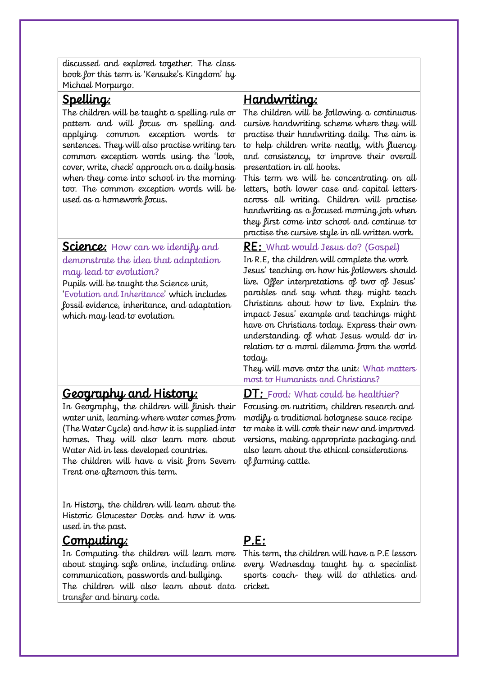| <u>Handwriting:</u><br>The children will be following a continuous<br>cursive handwriting scheme where they will<br>practise their handwriting daily. The aim is<br>to help children write neatly, with fluency<br>and consistency, to improve their overall<br>presentation in all books.<br>This term we will be concentrating on all<br>letters, both lower case and capital letters<br>across all writing. Children will practise<br>handwriting as a focused morning job when<br>they first come into school and continue to<br>practise the cursive style in all written work. |
|--------------------------------------------------------------------------------------------------------------------------------------------------------------------------------------------------------------------------------------------------------------------------------------------------------------------------------------------------------------------------------------------------------------------------------------------------------------------------------------------------------------------------------------------------------------------------------------|
| <b><u>RE: What would Jesus do? (Gospel)</u></b><br>In R.E, the children will complete the work<br>Jesus' teaching on how his followers should<br>live. Offer interpretations of two of Jesus'<br>parables and say what they might teach<br>Christians about how to live. Explain the<br>impact Jesus' example and teachings might<br>have on Christians today. Express their own<br>understanding of what Jesus would do in<br>relation to a moral dilemma from the world<br>today.<br>They will move onto the unit: What matters<br>most to Humanists and Christians?               |
| <b>DT:</b> Food: What could be healthier?<br>Focusing on nutrition, children research and<br>modify a traditional bolognese sauce recipe<br>to make it will cook their new and improved<br>versions, making appropriate packaging and<br>also learn about the ethical considerations<br>of farming cattle.                                                                                                                                                                                                                                                                           |
| <u>P.E:</u><br>This term, the children will have a P.E lesson<br>every Wednesday taught by a specialist<br>sports coach they will do athletics and<br>cricket.                                                                                                                                                                                                                                                                                                                                                                                                                       |
|                                                                                                                                                                                                                                                                                                                                                                                                                                                                                                                                                                                      |